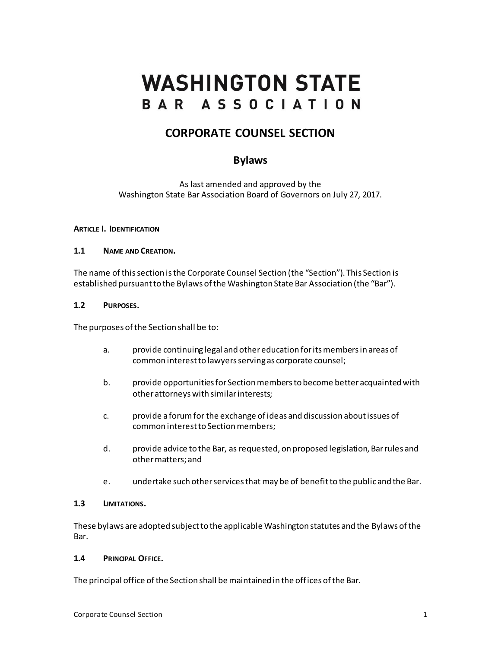# **WASHINGTON STATE** BAR ASSOCIATION

# **CORPORATE COUNSEL SECTION**

# **Bylaws**

As last amended and approved by the Washington State Bar Association Board of Governors on July 27, 2017.

#### **ARTICLE I. IDENTIFICATION**

#### **1.1 NAME AND CREATION.**

The name of this section isthe Corporate Counsel Section (the "Section"). This Section is established pursuant to the Bylaws of the Washington State Bar Association (the "Bar").

#### **1.2 PURPOSES.**

The purposes of the Section shall be to:

- a. provide continuing legal and other education for its members in areas of common interest to lawyers serving as corporate counsel;
- b. provide opportunities for Section members to become better acquainted with other attorneys with similar interests;
- c. provide a forum for the exchange of ideas and discussion about issues of common interest to Section members;
- d. provide advice to the Bar, as requested, on proposed legislation, Bar rules and other matters; and
- e. undertake such other services that may be of benefit to the public and the Bar.

#### **1.3 LIMITATIONS.**

These bylaws are adopted subject to the applicable Washington statutes and the Bylaws of the Bar.

#### **1.4 PRINCIPAL OFFICE.**

The principal office of the Section shall be maintained in the offices of the Bar.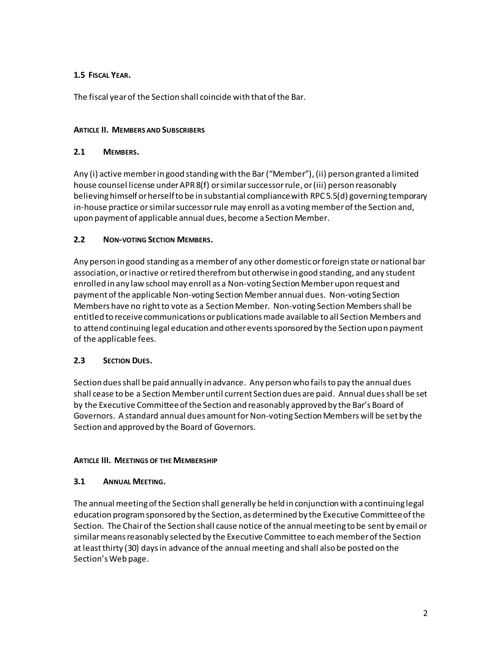# **1.5 FISCAL YEAR.**

The fiscal year of the Section shall coincide with that of the Bar.

#### **ARTICLE II. MEMBERS AND SUBSCRIBERS**

#### **2.1 MEMBERS.**

Any (i) active member in good standing with the Bar("Member"),(ii) person granted a limited house counsel license under APR 8(f) or similar successor rule, or (iii) person reasonably believing himself or herself to be in substantial compliance with RPC 5.5(d) governing temporary in-house practice or similar successor rule may enroll as a voting member of the Section and, upon payment of applicable annual dues, become a Section Member.

#### **2.2 NON-VOTING SECTION MEMBERS.**

Any person in good standing as a member of any other domestic or foreign state ornational bar association, or inactive or retired therefrombut otherwise in good standing, and any student enrolled in any law school may enroll as a Non-voting Section Memberupon request and payment of the applicable Non-voting Section Member annual dues. Non-voting Section Members have no right to vote as a Section Member. Non-voting Section Membersshall be entitled to receive communications or publications made available to all Section Members and to attend continuing legal education and other events sponsored by the Section upon payment of the applicable fees.

#### **2.3 SECTION DUES.**

Section dues shall be paid annually in advance. Any person who fails to pay the annual dues shall cease to be a Section Member until current Section dues are paid. Annual dues shall be set by the Executive Committee of the Section and reasonably approved by the Bar's Board of Governors. A standard annual dues amount for Non-voting Section Members will be set by the Section and approved by the Board of Governors.

#### **ARTICLE III. MEETINGS OF THE MEMBERSHIP**

#### **3.1 ANNUAL MEETING.**

The annual meeting of the Section shall generally be held in conjunction with a continuing legal education program sponsored by the Section, as determined by the Executive Committee of the Section. The Chairof the Section shall cause notice of the annual meeting to be sent by email or similar means reasonably selected by the Executive Committee to each member of the Section at least thirty (30) days in advance of the annual meeting and shall also be posted on the Section's Web page.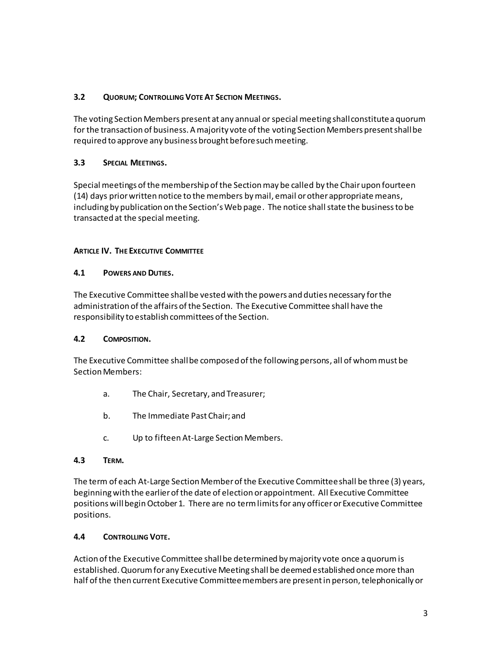#### **3.2 QUORUM; CONTROLLING VOTEAT SECTION MEETINGS.**

The voting Section Members present at any annual or special meeting shall constitute a quorum for the transaction of business. A majority vote of the voting Section Members present shall be required to approve any business brought before such meeting.

#### **3.3 SPECIAL MEETINGS.**

Special meetings of the membership of the Section may be called by the Chair upon fourteen (14) days prior written notice to the members by mail, email or other appropriate means, including by publication on the Section's Web page. The notice shall state the business to be transacted at the special meeting.

#### **ARTICLE IV. THE EXECUTIVE COMMITTEE**

#### **4.1 POWERS AND DUTIES.**

The Executive Committee shall be vested with the powers and duties necessary for the administration of the affairs of the Section. The Executive Committee shall have the responsibility to establish committees of the Section.

#### **4.2 COMPOSITION.**

The Executive Committee shall be composed of the following persons, all of whom must be Section Members:

- a. The Chair, Secretary, and Treasurer;
- b. The Immediate Past Chair; and
- c. Up to fifteen At-Large Section Members.

#### **4.3 TERM.**

The term of each At-Large Section Member of the Executive Committee shall be three (3) years, beginning with the earlier of the date of election or appointment. All Executive Committee positions will begin October 1. There are no term limits for any officer or Executive Committee positions.

#### **4.4 CONTROLLING VOTE.**

Action of the Executive Committee shall be determined by majority vote once a quorum is established.Quorum for any Executive Meeting shall be deemed established once more than half of the then current Executive Committee members are present in person, telephonically or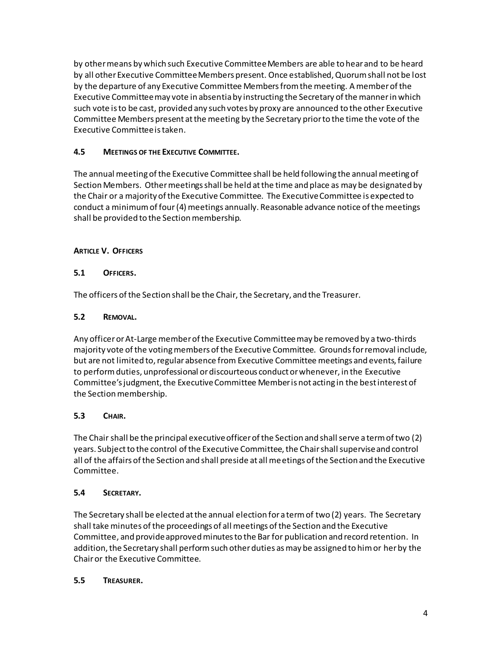by other means by which such Executive Committee Members are able to hear and to be heard by all other Executive Committee Members present. Once established, Quorum shall not be lost by the departure of any Executive Committee Members from the meeting. A member of the Executive Committee may vote in absentia by instructing the Secretary of the manner in which such vote is to be cast, provided any such votes by proxy are announced to the other Executive Committee Members present at the meeting by the Secretary prior to the time the vote of the Executive Committee is taken.

# **4.5 MEETINGS OF THE EXECUTIVE COMMITTEE.**

The annual meeting of the Executive Committee shall be held following the annual meeting of Section Members. Other meetings shall be held at the time and place as may be designated by the Chair or a majority of the Executive Committee. The Executive Committee is expected to conduct a minimum of four(4) meetings annually. Reasonable advance notice of the meetings shall be provided to the Section membership.

#### **ARTICLE V. OFFICERS**

#### **5.1 OFFICERS.**

The officers of the Section shall be the Chair, the Secretary, and the Treasurer.

#### **5.2 REMOVAL.**

Any officer or At-Large member of the Executive Committee may be removed by a two-thirds majority vote of the voting members of the Executive Committee. Grounds for removal include, but are not limited to, regular absence from Executive Committee meetings and events, failure to perform duties, unprofessional or discourteous conduct or whenever, in the Executive Committee's judgment, the Executive Committee Member is not acting in the best interest of the Section membership.

#### **5.3 CHAIR.**

The Chair shall be the principal executive officer of the Section and shall serve a term of two (2) years. Subject to the control of the Executive Committee, the Chair shall supervise and control all of the affairs of the Section and shall preside at all meetings of the Section and the Executive Committee.

#### **5.4 SECRETARY.**

The Secretary shall be elected at the annual election for a term of two (2) years. The Secretary shall take minutes of the proceedings of all meetings of the Section and the Executive Committee, and provide approved minutes to the Bar for publication and record retention. In addition, the Secretary shall perform such other duties as may be assigned to him or her by the Chair or the Executive Committee.

# **5.5 TREASURER.**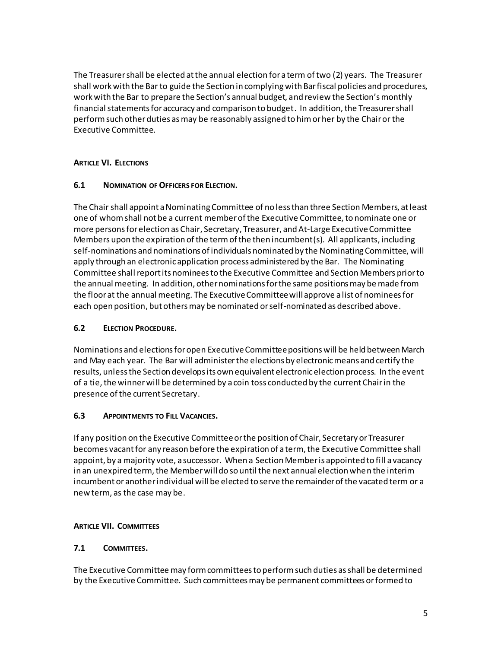The Treasurer shall be elected at the annual election for a term of two (2) years. The Treasurer shall work with the Bar to guide the Section in complying with Bar fiscal policies and procedures, work with the Bar to prepare the Section's annual budget, and review the Section's monthly financial statements for accuracy and comparison to budget. In addition, the Treasurer shall perform such other duties as may be reasonably assigned to him or her by the Chair or the Executive Committee.

# **ARTICLE VI. ELECTIONS**

#### **6.1 NOMINATION OF OFFICERS FOR ELECTION.**

The Chair shall appoint a Nominating Committee of no less than three Section Members, at least one of whom shall not be a current member of the Executive Committee, to nominate one or more persons for election as Chair, Secretary, Treasurer, and At-Large Executive Committee Members upon the expiration of the term of the then incumbent(s). All applicants, including self-nominations and nominations of individuals nominated by the Nominating Committee, will apply through an electronic application process administered by the Bar. The Nominating Committee shall report its nominees to the Executive Committee and Section Members prior to the annual meeting. In addition, other nominations for the same positions may be made from the floor at the annual meeting. The Executive Committee will approve a list of nominees for each open position, but others may be nominated or self-nominated as described above.

#### **6.2 ELECTION PROCEDURE.**

Nominations and elections for open Executive Committee positions will be held between March and May each year. The Bar will administer the elections by electronic means and certify the results, unless the Section develops its own equivalent electronic election process. In the event of a tie, the winner will be determined by a coin toss conducted by the current Chair in the presence of the current Secretary.

#### **6.3 APPOINTMENTS TO FILL VACANCIES.**

If any position on the Executive Committee or the position of Chair, Secretary or Treasurer becomes vacant for any reason before the expiration of a term, the Executive Committee shall appoint, by a majority vote, a successor. When a Section Member is appointed to fill a vacancy in an unexpired term, the Member will do so until the next annual election when the interim incumbent or anotherindividual will be elected to serve the remainder of the vacated term or a new term, as the case may be.

#### **ARTICLE VII. COMMITTEES**

# **7.1 COMMITTEES.**

The Executive Committee may form committees to perform such duties as shall be determined by the Executive Committee. Such committees may be permanent committees or formed to